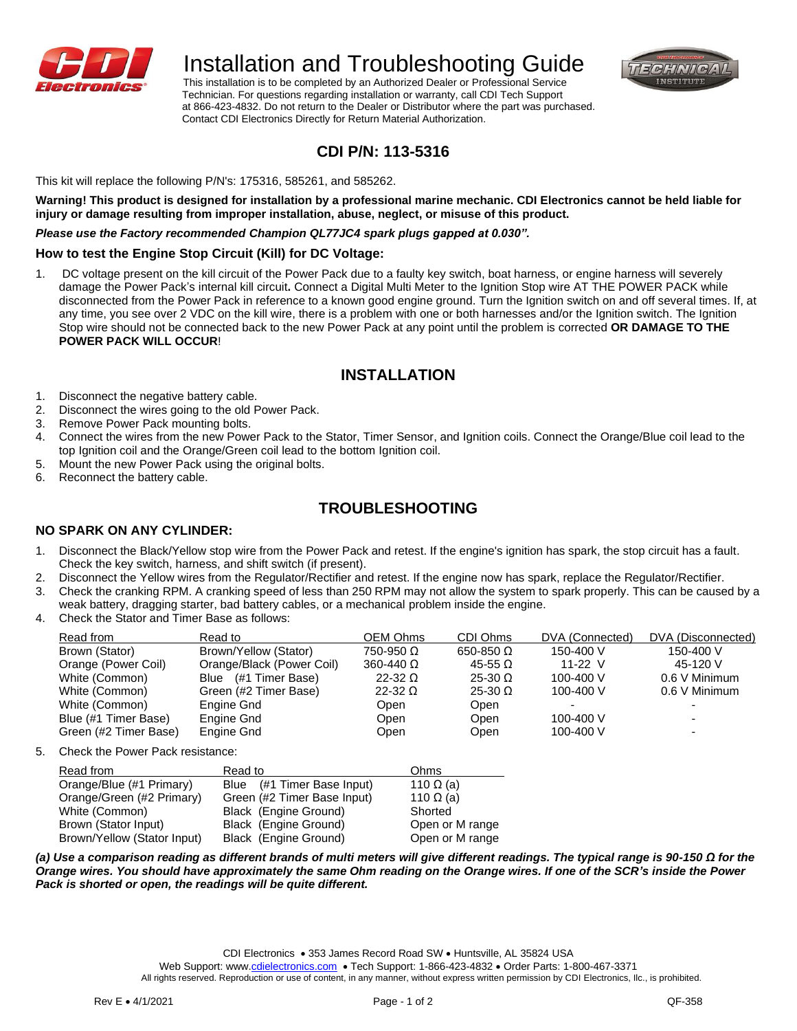

# Installation and Troubleshooting Guide

 This installation is to be completed by an Authorized Dealer or Professional Service Technician. For questions regarding installation or warranty, call CDI Tech Support at 866-423-4832. Do not return to the Dealer or Distributor where the part was purchased. Contact CDI Electronics Directly for Return Material Authorization.



## **CDI P/N: 113-5316**

This kit will replace the following P/N's: 175316, 585261, and 585262.

**Warning! This product is designed for installation by a professional marine mechanic. CDI Electronics cannot be held liable for injury or damage resulting from improper installation, abuse, neglect, or misuse of this product.**

### *Please use the Factory recommended Champion QL77JC4 spark plugs gapped at 0.030".*

### **How to test the Engine Stop Circuit (Kill) for DC Voltage:**

1. DC voltage present on the kill circuit of the Power Pack due to a faulty key switch, boat harness, or engine harness will severely damage the Power Pack's internal kill circuit**.** Connect a Digital Multi Meter to the Ignition Stop wire AT THE POWER PACK while disconnected from the Power Pack in reference to a known good engine ground. Turn the Ignition switch on and off several times. If, at any time, you see over 2 VDC on the kill wire, there is a problem with one or both harnesses and/or the Ignition switch. The Ignition Stop wire should not be connected back to the new Power Pack at any point until the problem is corrected **OR DAMAGE TO THE POWER PACK WILL OCCUR**!

### **INSTALLATION**

- 1. Disconnect the negative battery cable.
- 2. Disconnect the wires going to the old Power Pack.
- 3. Remove Power Pack mounting bolts.
- 4. Connect the wires from the new Power Pack to the Stator, Timer Sensor, and Ignition coils. Connect the Orange/Blue coil lead to the top Ignition coil and the Orange/Green coil lead to the bottom Ignition coil.
- 5. Mount the new Power Pack using the original bolts.
- 6. Reconnect the battery cable.

### **TROUBLESHOOTING**

### **NO SPARK ON ANY CYLINDER:**

- 1. Disconnect the Black/Yellow stop wire from the Power Pack and retest. If the engine's ignition has spark, the stop circuit has a fault. Check the key switch, harness, and shift switch (if present).
- 2. Disconnect the Yellow wires from the Regulator/Rectifier and retest. If the engine now has spark, replace the Regulator/Rectifier.
- 3. Check the cranking RPM. A cranking speed of less than 250 RPM may not allow the system to spark properly. This can be caused by a weak battery, dragging starter, bad battery cables, or a mechanical problem inside the engine.
- 4. Check the Stator and Timer Base as follows:

| Read from             | Read to                   | OEM Ohms             | CDI Ohms           | DVA (Connected) | DVA (Disconnected) |
|-----------------------|---------------------------|----------------------|--------------------|-----------------|--------------------|
| Brown (Stator)        | Brown/Yellow (Stator)     | $750-950$ $\Omega$   | $650-850$ $\Omega$ | 150-400 V       | 150-400 V          |
| Orange (Power Coil)   | Orange/Black (Power Coil) | $360 - 440$ $\Omega$ | $45-55$ $\Omega$   | 11-22 $V$       | 45-120 V           |
| White (Common)        | Blue (#1 Timer Base)      | $22-32$ $\Omega$     | $25-30$ $\Omega$   | 100-400 V       | 0.6 V Minimum      |
| White (Common)        | Green (#2 Timer Base)     | $22-32$ $\Omega$     | $25-30$ $\Omega$   | 100-400 V       | 0.6 V Minimum      |
| White (Common)        | Engine Gnd                | Open                 | Open               |                 |                    |
| Blue (#1 Timer Base)  | Engine Gnd                | Open                 | Open               | 100-400 V       |                    |
| Green (#2 Timer Base) | Engine Gnd                | Open                 | Open               | 100-400 V       |                    |

5. Check the Power Pack resistance:

| Read from                   | Read to                     | Ohms             |
|-----------------------------|-----------------------------|------------------|
| Orange/Blue (#1 Primary)    | Blue (#1 Timer Base Input)  | 110 $\Omega$ (a) |
| Orange/Green (#2 Primary)   | Green (#2 Timer Base Input) | 110 $\Omega$ (a) |
| White (Common)              | Black (Engine Ground)       | Shorted          |
| Brown (Stator Input)        | Black (Engine Ground)       | Open or M range  |
| Brown/Yellow (Stator Input) | Black (Engine Ground)       | Open or M range  |

*(a) Use a comparison reading as different brands of multi meters will give different readings. The typical range is 90-150 Ω for the Orange wires. You should have approximately the same Ohm reading on the Orange wires. If one of the SCR's inside the Power Pack is shorted or open, the readings will be quite different.* 

CDI Electronics • 353 James Record Road SW • Huntsville, AL 35824 USA

Web Support: www[.cdielectronics.com](http://www.cdielectronics.com/) • Tech Support: 1-866-423-4832 • Order Parts: 1-800-467-3371

All rights reserved. Reproduction or use of content, in any manner, without express written permission by CDI Electronics, Ilc., is prohibited.